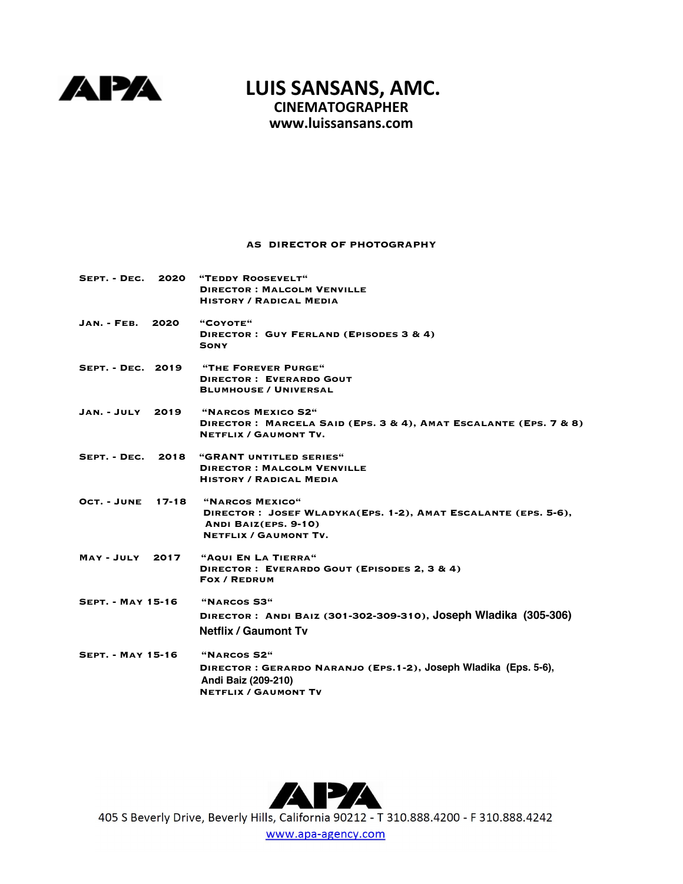

## **LUIS SANSANS, AMC. CINEMATOGRAPHER**

**www.l[uissansans.com](mailto:sansans@mac.com)**

## **AS DIRECTOR OF PHOTOGRAPHY**

| SEPT. - DEC. 2020        |  | "TEDDY ROOSEVELT"                                                                                |
|--------------------------|--|--------------------------------------------------------------------------------------------------|
|                          |  | <b>DIRECTOR: MALCOLM VENVILLE</b>                                                                |
|                          |  | <b>HISTORY / RADICAL MEDIA</b>                                                                   |
| JAN. - FEB. 2020         |  | $"$ COYOTE $"$                                                                                   |
|                          |  | DIRECTOR: GUY FERLAND (EPISODES 3 & 4)<br>SONY                                                   |
|                          |  | SEPT. - DEC. 2019 "THE FOREVER PURGE"                                                            |
|                          |  | <b>DIRECTOR: EVERARDO GOUT</b>                                                                   |
|                          |  | <b>BLUMHOUSE / UNIVERSAL</b>                                                                     |
| JAN.-JULY 2019           |  | "NARCOS MEXICO S2"                                                                               |
|                          |  | DIRECTOR: MARCELA SAID (EPS. 3 & 4), AMAT ESCALANTE (EPS. 7 & 8)<br><b>NETFLIX / GAUMONT TV.</b> |
| SEPT. - DEC. 2018        |  | "GRANT UNTITLED SERIES"                                                                          |
|                          |  | <b>DIRECTOR: MALCOLM VENVILLE</b>                                                                |
|                          |  | <b>HISTORY / RADICAL MEDIA</b>                                                                   |
| OCT. - JUNE 17-18        |  | "NARCOS MEXICO"                                                                                  |
|                          |  | DIRECTOR: JOSEF WLADYKA(EPS. 1-2), AMAT ESCALANTE (EPS. 5-6),                                    |
|                          |  | ANDI BAIZ(EPS. 9-10)                                                                             |
|                          |  | <b>NETFLIX / GAUMONT TV.</b>                                                                     |
| <b>MAY-JULY 2017</b>     |  | "AQUI EN LA TIERRA"                                                                              |
|                          |  | DIRECTOR: EVERARDO GOUT (EPISODES 2, 3 & 4)                                                      |
|                          |  | <b>FOX / REDRUM</b>                                                                              |
| <b>SEPT. - MAY 15-16</b> |  | "NARCOS S3"                                                                                      |
|                          |  | DIRECTOR: ANDI BAIZ (301-302-309-310), JOSEPh Wladika (305-306)                                  |
|                          |  | <b>Netflix / Gaumont Tv</b>                                                                      |
| <b>SEPT. - MAY 15-16</b> |  | "NARCOS S2"                                                                                      |
|                          |  | DIRECTOR: GERARDO NARANJO (EPS.1-2), JOSEPh Wladika (Eps. 5-6),                                  |
|                          |  | Andi Baiz (209-210)                                                                              |
|                          |  | <b>NETFLIX / GAUMONT TV</b>                                                                      |



405 S Beverly Drive, Beverly Hills, California 90212 - T 310.888.4200 - F 310.888.4242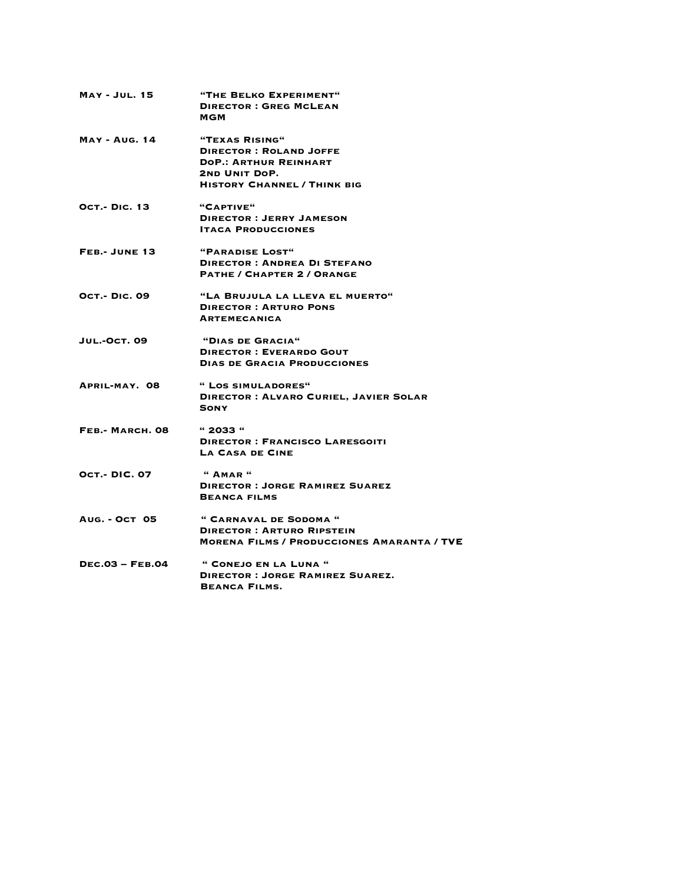| <b>MAY - JUL. 15</b>   | "THE BELKO EXPERIMENT"<br><b>DIRECTOR: GREG MCLEAN</b><br>MGM                                                                          |
|------------------------|----------------------------------------------------------------------------------------------------------------------------------------|
| <b>MAY - AUG. 14</b>   | "TEXAS RISING"<br><b>DIRECTOR: ROLAND JOFFE</b><br><b>DOP.: ARTHUR REINHART</b><br>2ND UNIT DOP.<br><b>HISTORY CHANNEL / THINK BIG</b> |
| <b>OCT.- DIC. 13</b>   | "CAPTIVE"<br><b>DIRECTOR: JERRY JAMESON</b><br><b>ITACA PRODUCCIONES</b>                                                               |
| FEB.- JUNE 13          | "PARADISE LOST"<br><b>DIRECTOR: ANDREA DI STEFANO</b><br><b>PATHE / CHAPTER 2 / ORANGE</b>                                             |
| <b>OCT.- DIC. 09</b>   | "LA BRUJULA LA LLEVA EL MUERTO"<br><b>DIRECTOR: ARTURO PONS</b><br><b>ARTEMECANICA</b>                                                 |
| <b>JUL.-OCT. 09</b>    | "DIAS DE GRACIA"<br><b>DIRECTOR: EVERARDO GOUT</b><br><b>DIAS DE GRACIA PRODUCCIONES</b>                                               |
| APRIL-MAY. 08          | " LOS SIMULADORES"<br><b>DIRECTOR: ALVARO CURIEL, JAVIER SOLAR</b><br><b>SONY</b>                                                      |
| FEB.- MARCH. 08        | "2033"<br><b>DIRECTOR: FRANCISCO LARESGOITI</b><br>LA CASA DE CINE                                                                     |
| <b>OCT.- DIC. 07</b>   | $"$ AMAR $"$<br><b>DIRECTOR: JORGE RAMIREZ SUAREZ</b><br><b>BEANCA FILMS</b>                                                           |
| <b>AUG. - OCT 05</b>   | " CARNAVAL DE SODOMA "<br><b>DIRECTOR: ARTURO RIPSTEIN</b><br><b>MORENA FILMS / PRODUCCIONES AMARANTA / TVE</b>                        |
| <b>DEC.03 - FEB.04</b> | " CONEJO EN LA LUNA "<br><b>DIRECTOR: JORGE RAMIREZ SUAREZ.</b><br><b>BEANCA FILMS.</b>                                                |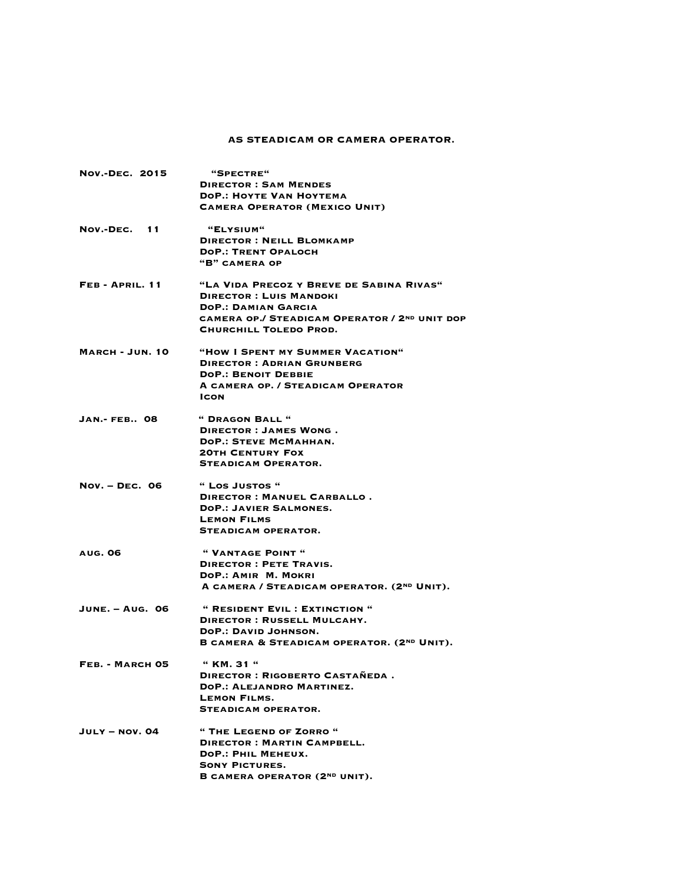## **AS STEADICAM OR CAMERA OPERATOR.**

| <b>NOV.-DEC. 2015</b>  | "SPECTRE"                                              |
|------------------------|--------------------------------------------------------|
|                        | <b>DIRECTOR: SAM MENDES</b>                            |
|                        | <b>DOP.: HOYTE VAN HOYTEMA</b>                         |
|                        | <b>CAMERA OPERATOR (MEXICO UNIT)</b>                   |
| NOV.-DEC. 11           | "ELYSIUM"                                              |
|                        | <b>DIRECTOR: NEILL BLOMKAMP</b>                        |
|                        | <b>DOP.: TRENT OPALOCH</b>                             |
|                        | "B" CAMERA OP                                          |
| FEB-APRIL. 11          | "LA VIDA PRECOZ Y BREVE DE SABINA RIVAS"               |
|                        | <b>DIRECTOR: LUIS MANDOKI</b>                          |
|                        | <b>DOP.: DAMIAN GARCIA</b>                             |
|                        | CAMERA OP./ STEADICAM OPERATOR / 2ND UNIT DOP          |
|                        | CHURCHILL TOLEDO PROD.                                 |
| <b>MARCH - JUN. 10</b> | "HOW I SPENT MY SUMMER VACATION"                       |
|                        | <b>DIRECTOR: ADRIAN GRUNBERG</b>                       |
|                        | <b>DOP.: BENOIT DEBBIE</b>                             |
|                        | A CAMERA OP. / STEADICAM OPERATOR                      |
|                        | ICON                                                   |
| <b>JAN.- FEB 08</b>    | " DRAGON BALL "                                        |
|                        | DIRECTOR : JAMES WONG.                                 |
|                        | DOP.: STEVE MCMAHHAN.                                  |
|                        | <b>20TH CENTURY FOX</b>                                |
|                        | <b>STEADICAM OPERATOR.</b>                             |
| <b>Nov. - DEC. 06</b>  | " Los Justos "                                         |
|                        | DIRECTOR: MANUEL CARBALLO.                             |
|                        | <b>DOP.: JAVIER SALMONES.</b>                          |
|                        | <b>LEMON FILMS</b>                                     |
|                        | <b>STEADICAM OPERATOR.</b>                             |
| <b>AUG. 06</b>         | " VANTAGE POINT "                                      |
|                        | <b>DIRECTOR: PETE TRAVIS.</b>                          |
|                        | DOP.: AMIR M. MOKRI                                    |
|                        | A CAMERA / STEADICAM OPERATOR. (2ND UNIT).             |
| <b>JUNE. - AUG. 06</b> | " RESIDENT EVIL : EXTINCTION "                         |
|                        | <b>DIRECTOR: RUSSELL MULCAHY.</b>                      |
|                        | <b>DOP.: DAVID JOHNSON.</b>                            |
|                        | B CAMERA & STEADICAM OPERATOR. (2 <sup>ND</sup> UNIT). |
| FEB. - MARCH 05        | $"$ KM. 31 $"$                                         |
|                        | DIRECTOR: RIGOBERTO CASTAÑEDA.                         |
|                        | <b>DOP.: ALEJANDRO MARTINEZ.</b>                       |
|                        | LEMON FILMS.                                           |
|                        | <b>STEADICAM OPERATOR.</b>                             |
| $JULTY - NOV. O4$      | " THE LEGEND OF ZORRO "                                |
|                        | <b>DIRECTOR: MARTIN CAMPBELL.</b>                      |
|                        | DOP.: PHIL MEHEUX.                                     |
|                        | <b>SONY PICTURES.</b>                                  |
|                        | B CAMERA OPERATOR (2ND UNIT).                          |